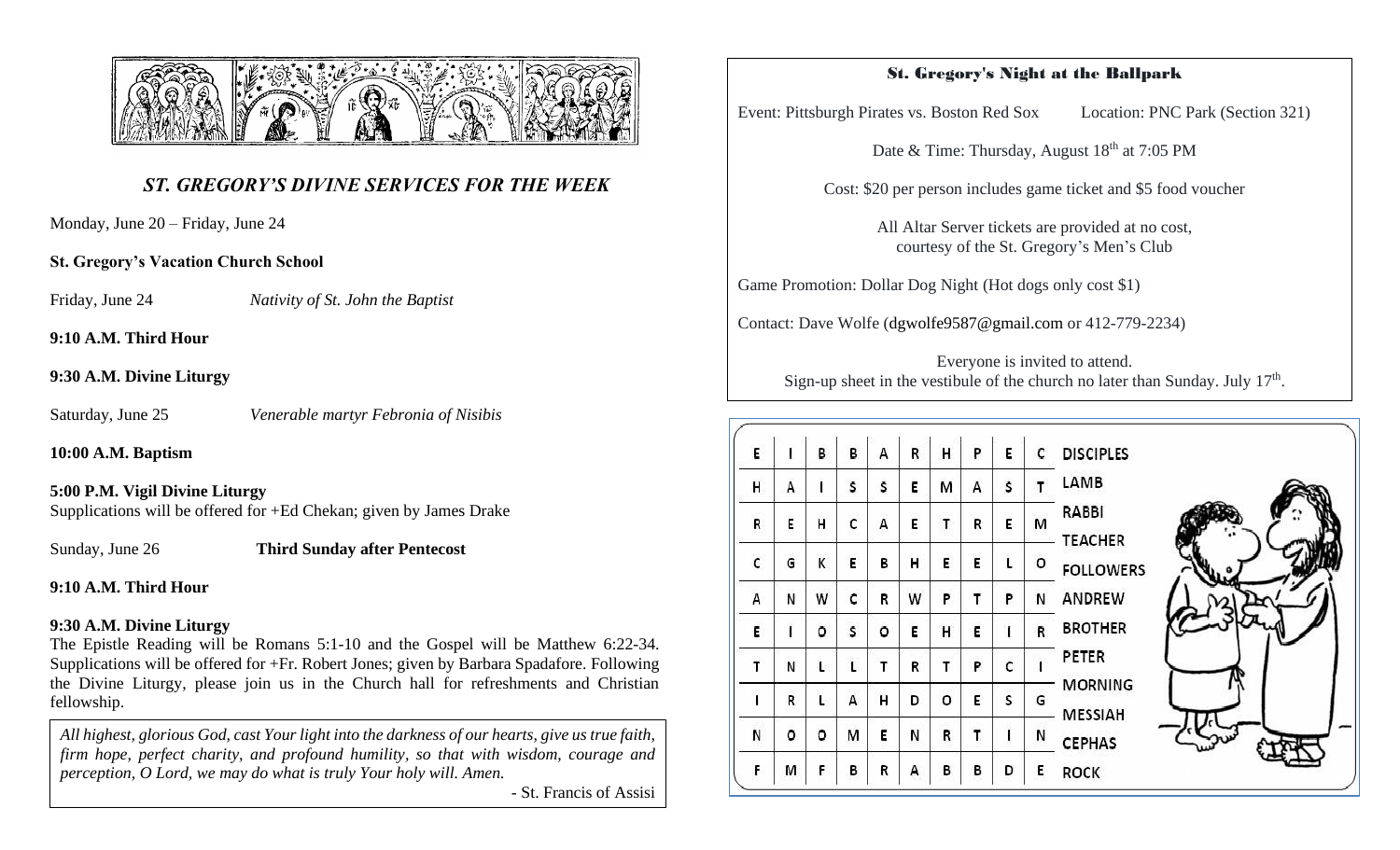

# *ST. GREGORY'S DIVINE SERVICES FOR THE WEEK*

Monday, June 20 – Friday, June 24

## **St. Gregory's Vacation Church School**

Friday, June 24 *Nativity of St. John the Baptist* 

**9:10 A.M. Third Hour** 

## **9:30 A.M. Divine Liturgy**

Saturday, June 25 *Venerable martyr Febronia of Nisibis* 

**10:00 A.M. Baptism** 

## **5:00 P.M. Vigil Divine Liturgy**

Supplications will be offered for +Ed Chekan; given by James Drake

Sunday, June 26 **Third Sunday after Pentecost**

## **9:10 A.M. Third Hour**

## **9:30 A.M. Divine Liturgy**

The Epistle Reading will be Romans 5:1-10 and the Gospel will be Matthew 6:22-34. Supplications will be offered for +Fr. Robert Jones; given by Barbara Spadafore. Following the Divine Liturgy, please join us in the Church hall for refreshments and Christian fellowship.

*All highest, glorious God, cast Your light into the darkness of our hearts, give us true faith, firm hope, perfect charity, and profound humility, so that with wisdom, courage and perception, O Lord, we may do what is truly Your holy will. Amen.*

- St. Francis of Assisi

## St. Gregory's Night at the Ballpark

Event: Pittsburgh Pirates vs. Boston Red Sox Location: PNC Park (Section 321)

Date & Time: Thursday, August 18<sup>th</sup> at 7:05 PM

Cost: \$20 per person includes game ticket and \$5 food voucher

All Altar Server tickets are provided at no cost, courtesy of the St. Gregory's Men's Club

Game Promotion: Dollar Dog Night (Hot dogs only cost \$1)

Contact: Dave Wolfe [\(dgwolfe9587@gmail.com](mailto:dgwolfe9587@gmail.com) or 412-779-2234)

Everyone is invited to attend. Sign-up sheet in the vestibule of the church no later than Sunday. July  $17<sup>th</sup>$ .

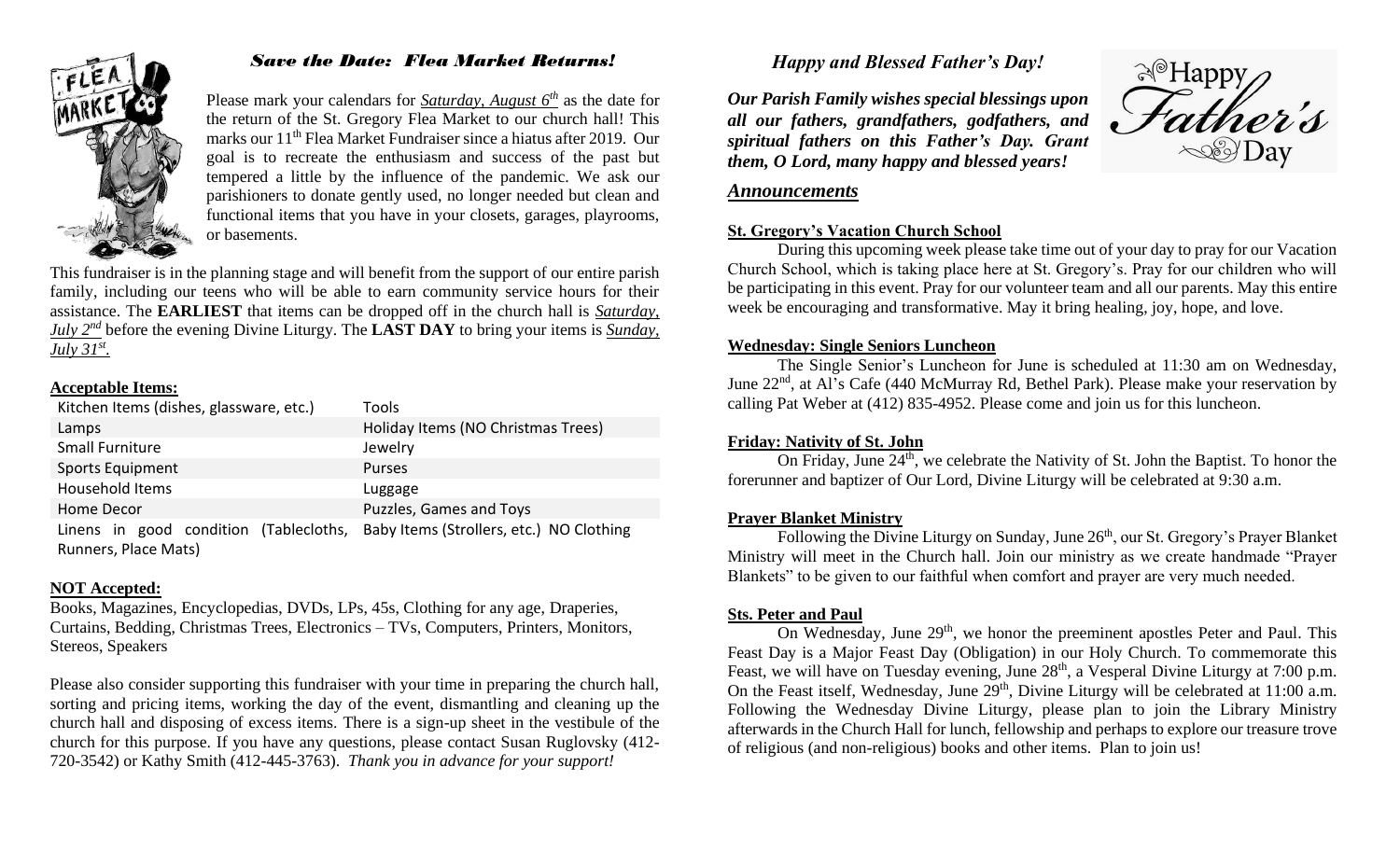

## *Save the Date: Flea Market Returns!*

Please mark your calendars for *Saturday, August 6th* as the date for the return of the St. Gregory Flea Market to our church hall! This marks our 11<sup>th</sup> Flea Market Fundraiser since a hiatus after 2019. Our goal is to recreate the enthusiasm and success of the past but tempered a little by the influence of the pandemic. We ask our parishioners to donate gently used, no longer needed but clean and functional items that you have in your closets, garages, playrooms, or basements.

This fundraiser is in the planning stage and will benefit from the support of our entire parish family, including our teens who will be able to earn community service hours for their assistance. The **EARLIEST** that items can be dropped off in the church hall is *Saturday, July 2nd* before the evening Divine Liturgy. The **LAST DAY** to bring your items is *Sunday, July 31st .*

#### **Acceptable Items:**

| Kitchen Items (dishes, glassware, etc.)                        | Tools                                    |
|----------------------------------------------------------------|------------------------------------------|
| Lamps                                                          | Holiday Items (NO Christmas Trees)       |
| <b>Small Furniture</b>                                         | Jewelry                                  |
| <b>Sports Equipment</b>                                        | <b>Purses</b>                            |
| Household Items                                                | Luggage                                  |
| Home Decor                                                     | Puzzles, Games and Toys                  |
| Linens in good condition (Tablecloths,<br>Runners, Place Mats) | Baby Items (Strollers, etc.) NO Clothing |

#### **NOT Accepted:**

Books, Magazines, Encyclopedias, DVDs, LPs, 45s, Clothing for any age, Draperies, Curtains, Bedding, Christmas Trees, Electronics – TVs, Computers, Printers, Monitors, Stereos, Speakers

Please also consider supporting this fundraiser with your time in preparing the church hall, sorting and pricing items, working the day of the event, dismantling and cleaning up the church hall and disposing of excess items. There is a sign-up sheet in the vestibule of the church for this purpose. If you have any questions, please contact Susan Ruglovsky (412- 720-3542) or Kathy Smith (412-445-3763). *Thank you in advance for your support!*

## *Happy and Blessed Father's Day!*

*Our Parish Family wishes special blessings upon all our fathers, grandfathers, godfathers, and spiritual fathers on this Father's Day. Grant them, O Lord, many happy and blessed years!*



#### *Announcements*

#### **St. Gregory's Vacation Church School**

During this upcoming week please take time out of your day to pray for our Vacation Church School, which is taking place here at St. Gregory's. Pray for our children who will be participating in this event. Pray for our volunteer team and all our parents. May this entire week be encouraging and transformative. May it bring healing, joy, hope, and love.

#### **Wednesday: Single Seniors Luncheon**

The Single Senior's Luncheon for June is scheduled at 11:30 am on Wednesday, June 22<sup>nd</sup>, at Al's Cafe (440 McMurray Rd, Bethel Park). Please make your reservation by calling Pat Weber at (412) 835-4952. Please come and join us for this luncheon.

#### **Friday: Nativity of St. John**

On Friday, June  $24<sup>th</sup>$ , we celebrate the Nativity of St. John the Baptist. To honor the forerunner and baptizer of Our Lord, Divine Liturgy will be celebrated at 9:30 a.m.

#### **Prayer Blanket Ministry**

Following the Divine Liturgy on Sunday, June  $26<sup>th</sup>$ , our St. Gregory's Prayer Blanket Ministry will meet in the Church hall. Join our ministry as we create handmade "Prayer Blankets" to be given to our faithful when comfort and prayer are very much needed.

#### **Sts. Peter and Paul**

On Wednesday, June 29<sup>th</sup>, we honor the preeminent apostles Peter and Paul. This Feast Day is a Major Feast Day (Obligation) in our Holy Church. To commemorate this Feast, we will have on Tuesday evening, June  $28<sup>th</sup>$ , a Vesperal Divine Liturgy at 7:00 p.m. On the Feast itself, Wednesday, June  $29<sup>th</sup>$ , Divine Liturgy will be celebrated at 11:00 a.m. Following the Wednesday Divine Liturgy, please plan to join the Library Ministry afterwards in the Church Hall for lunch, fellowship and perhaps to explore our treasure trove of religious (and non-religious) books and other items. Plan to join us!